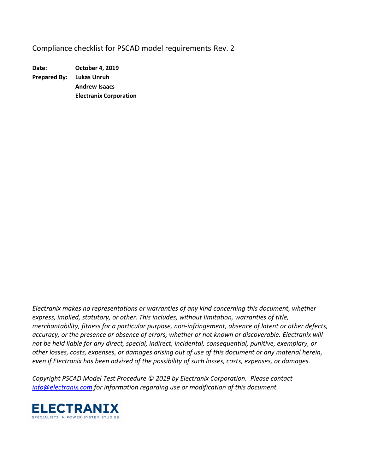Compliance checklist for PSCAD model requirements Rev. 2

**Date: October 4, 2019 Prepared By: Lukas Unruh Andrew Isaacs Electranix Corporation**

*Electranix makes no representations or warranties of any kind concerning this document, whether express, implied, statutory, or other. This includes, without limitation, warranties of title, merchantability, fitness for a particular purpose, non-infringement, absence of latent or other defects, accuracy, or the presence or absence of errors, whether or not known or discoverable. Electranix will not be held liable for any direct, special, indirect, incidental, consequential, punitive, exemplary, or other losses, costs, expenses, or damages arising out of use of this document or any material herein, even if Electranix has been advised of the possibility of such losses, costs, expenses, or damages.* 

*Copyright PSCAD Model Test Procedure © 2019 by Electranix Corporation. Please contact [info@electranix.com](mailto:info@electranix.com) for information regarding use or modification of this document.*

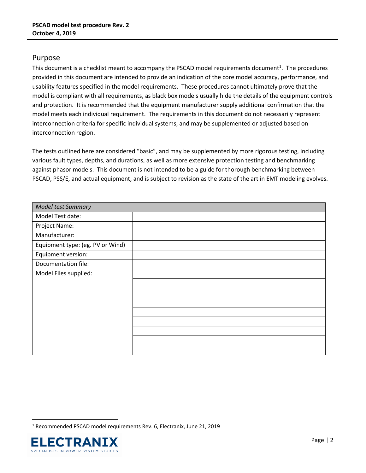## Purpose

This document is a checklist meant to accompany the PSCAD model requirements document<sup>1</sup>. The procedures provided in this document are intended to provide an indication of the core model accuracy, performance, and usability features specified in the model requirements. These procedures cannot ultimately prove that the model is compliant with all requirements, as black box models usually hide the details of the equipment controls and protection. It is recommended that the equipment manufacturer supply additional confirmation that the model meets each individual requirement. The requirements in this document do not necessarily represent interconnection criteria for specific individual systems, and may be supplemented or adjusted based on interconnection region.

The tests outlined here are considered "basic", and may be supplemented by more rigorous testing, including various fault types, depths, and durations, as well as more extensive protection testing and benchmarking against phasor models. This document is not intended to be a guide for thorough benchmarking between PSCAD, PSS/E, and actual equipment, and is subject to revision as the state of the art in EMT modeling evolves.

| Model test Summary               |  |  |  |  |
|----------------------------------|--|--|--|--|
| Model Test date:                 |  |  |  |  |
| Project Name:                    |  |  |  |  |
| Manufacturer:                    |  |  |  |  |
| Equipment type: (eg. PV or Wind) |  |  |  |  |
| Equipment version:               |  |  |  |  |
| Documentation file:              |  |  |  |  |
| Model Files supplied:            |  |  |  |  |
|                                  |  |  |  |  |
|                                  |  |  |  |  |
|                                  |  |  |  |  |
|                                  |  |  |  |  |
|                                  |  |  |  |  |
|                                  |  |  |  |  |
|                                  |  |  |  |  |
|                                  |  |  |  |  |

<sup>1</sup> Recommended PSCAD model requirements Rev. 6, Electranix, June 21, 2019

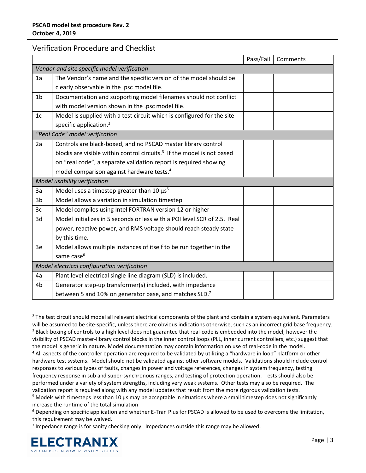## Verification Procedure and Checklist

|                                             |                                                                                    | Pass/Fail | Comments |  |  |
|---------------------------------------------|------------------------------------------------------------------------------------|-----------|----------|--|--|
|                                             | Vendor and site specific model verification                                        |           |          |  |  |
| 1a                                          | The Vendor's name and the specific version of the model should be                  |           |          |  |  |
|                                             | clearly observable in the .psc model file.                                         |           |          |  |  |
| 1 <sub>b</sub>                              | Documentation and supporting model filenames should not conflict                   |           |          |  |  |
|                                             | with model version shown in the .psc model file.                                   |           |          |  |  |
| 1c                                          | Model is supplied with a test circuit which is configured for the site             |           |          |  |  |
|                                             | specific application. <sup>2</sup>                                                 |           |          |  |  |
|                                             | "Real Code" model verification                                                     |           |          |  |  |
| 2a                                          | Controls are black-boxed, and no PSCAD master library control                      |           |          |  |  |
|                                             | blocks are visible within control circuits. <sup>3</sup> If the model is not based |           |          |  |  |
|                                             | on "real code", a separate validation report is required showing                   |           |          |  |  |
|                                             | model comparison against hardware tests. <sup>4</sup>                              |           |          |  |  |
|                                             | Model usability verification                                                       |           |          |  |  |
| 3a                                          | Model uses a timestep greater than 10 $\mu$ s <sup>5</sup>                         |           |          |  |  |
| 3 <sub>b</sub>                              | Model allows a variation in simulation timestep                                    |           |          |  |  |
| 3c                                          | Model compiles using Intel FORTRAN version 12 or higher                            |           |          |  |  |
| 3d                                          | Model initializes in 5 seconds or less with a POI level SCR of 2.5. Real           |           |          |  |  |
|                                             | power, reactive power, and RMS voltage should reach steady state                   |           |          |  |  |
|                                             | by this time.                                                                      |           |          |  |  |
| 3e                                          | Model allows multiple instances of itself to be run together in the                |           |          |  |  |
|                                             | same case <sup>6</sup>                                                             |           |          |  |  |
| Model electrical configuration verification |                                                                                    |           |          |  |  |
| 4a                                          | Plant level electrical single line diagram (SLD) is included.                      |           |          |  |  |
| 4 <sub>b</sub>                              | Generator step-up transformer(s) included, with impedance                          |           |          |  |  |
|                                             | between 5 and 10% on generator base, and matches SLD.7                             |           |          |  |  |

<span id="page-2-0"></span> $<sup>2</sup>$  The test circuit should model all relevant electrical components of the plant and contain a system equivalent. Parameters</sup> will be assumed to be site-specific, unless there are obvious indications otherwise, such as an incorrect grid base frequency. <sup>3</sup> Black-boxing of controls to a high level does not guarantee that real-code is embedded into the model, however the visibility of PSCAD master-library control blocks in the inner control loops (PLL, inner current controllers, etc.) suggest that the model is generic in nature. Model documentation may contain information on use of real-code in the model. <sup>4</sup> All aspects of the controller operation are required to be validated by utilizing a "hardware in loop" platform or other hardware test systems. Model should not be validated against other software models. Validations should include control responses to various types of faults, changes in power and voltage references, changes in system frequency, testing frequency response in sub and super-synchronous ranges, and testing of protection operation. Tests should also be performed under a variety of system strengths, including very weak systems. Other tests may also be required. The validation report is required along with any model updates that result from the more rigorous validation tests.

<sup>&</sup>lt;sup>7</sup> Impedance range is for sanity checking only. Impedances outside this range may be allowed.



 $5$  Models with timesteps less than 10  $\mu$ s may be acceptable in situations where a small timestep does not significantly increase the runtime of the total simulation

 $6$  Depending on specific application and whether E-Tran Plus for PSCAD is allowed to be used to overcome the limitation, this requirement may be waived.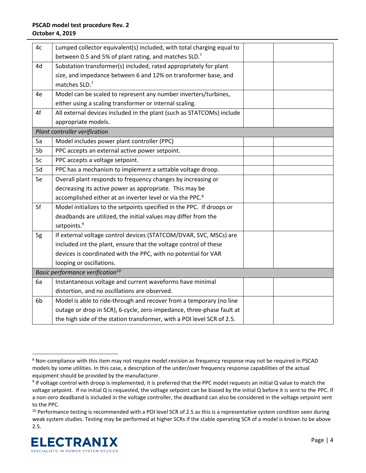## **PSCAD model test procedure Rev. 2 October 4, 2019**

| 4c | Lumped collector equivalent(s) included, with total charging equal to  |  |
|----|------------------------------------------------------------------------|--|
|    | between 0.5 and 5% of plant rating, and matches SLD.7                  |  |
| 4d | Substation transformer(s) included, rated appropriately for plant      |  |
|    | size, and impedance between 6 and 12% on transformer base, and         |  |
|    | matches SLD. <sup>7</sup>                                              |  |
| 4e | Model can be scaled to represent any number inverters/turbines,        |  |
|    | either using a scaling transformer or internal scaling.                |  |
| 4f | All external devices included in the plant (such as STATCOMs) include  |  |
|    | appropriate models.                                                    |  |
|    | Plant controller verification                                          |  |
| 5a | Model includes power plant controller (PPC)                            |  |
| 5b | PPC accepts an external active power setpoint.                         |  |
| 5c | PPC accepts a voltage setpoint.                                        |  |
| 5d | PPC has a mechanism to implement a settable voltage droop.             |  |
| 5e | Overall plant responds to frequency changes by increasing or           |  |
|    | decreasing its active power as appropriate. This may be                |  |
|    | accomplished either at an inverter level or via the PPC. <sup>8</sup>  |  |
| 5f | Model initializes to the setpoints specified in the PPC. If droops or  |  |
|    | deadbands are utilized, the initial values may differ from the         |  |
|    | setpoints. <sup>9</sup>                                                |  |
| 5g | If external voltage control devices (STATCOM/DVAR, SVC, MSCs) are      |  |
|    | included int the plant, ensure that the voltage control of these       |  |
|    | devices is coordinated with the PPC, with no potential for VAR         |  |
|    | looping or oscillations.                                               |  |
|    | Basic performance verification <sup>10</sup>                           |  |
| 6a | Instantaneous voltage and current waveforms have minimal               |  |
|    | distortion, and no oscillations are observed.                          |  |
| 6b | Model is able to ride-through and recover from a temporary (no line    |  |
|    | outage or drop in SCR), 6-cycle, zero-impedance, three-phase fault at  |  |
|    | the high side of the station transformer, with a POI level SCR of 2.5. |  |

 $10$  Performance testing is recommended with a POI level SCR of 2.5 as this is a representative system condition seen during weak system studies. Testing may be performed at higher SCRs if the stable operating SCR of a model is known to be above 2.5.



<sup>8</sup> Non-compliance with this item may not require model revision as frequency response may not be required in PSCAD models by some utilities. In this case, a description of the under/over frequency response capabilities of the actual equipment should be provided by the manufacturer.

<sup>&</sup>lt;sup>9</sup> If voltage control with droop is implemented, it is preferred that the PPC model requests an initial Q value to match the voltage setpoint. If no initial Q is requested, the voltage setpoint can be biased by the initial Q before it is sent to the PPC. If a non-zero deadband is included in the voltage controller, the deadband can also be considered in the voltage setpoint sent to the PPC.